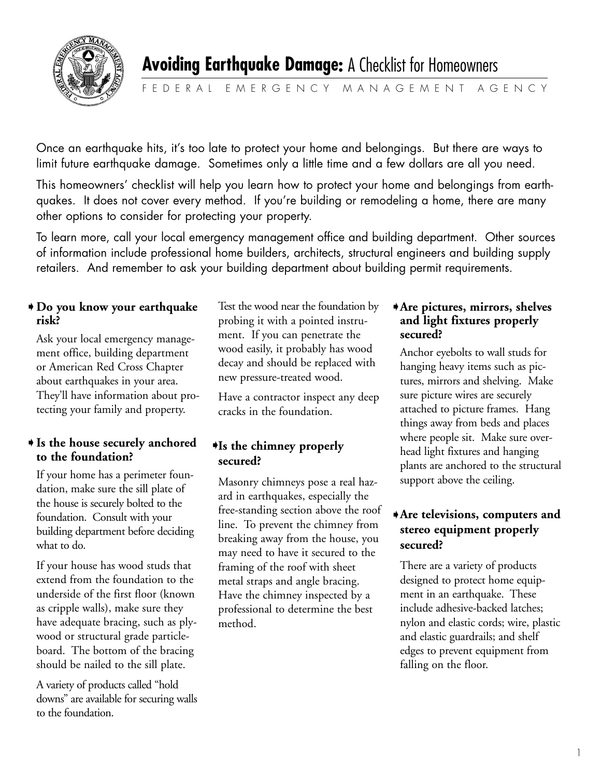

FEDERAL EMERGENCY MANAGEMENT AGENCY

Once an earthquake hits, it's too late to protect your home and belongings. But there are ways to limit future earthquake damage. Sometimes only a little time and a few dollars are all you need.

This homeowners' checklist will help you learn how to protect your home and belongings from earthquakes. It does not cover every method. If you're building or remodeling a home, there are many other options to consider for protecting your property.

To learn more, call your local emergency management office and building department. Other sources of information include professional home builders, architects, structural engineers and building supply retailers. And remember to ask your building department about building permit requirements.

## **Do you know your earthquake** ➧ **risk?**

Ask your local emergency management office, building department or American Red Cross Chapter about earthquakes in your area. They'll have information about protecting your family and property.

## ◆ Is the house securely anchored ♦ **to the foundation?**

If your home has a perimeter foundation, make sure the sill plate of the house is securely bolted to the foundation. Consult with your building department before deciding what to do.

If your house has wood studs that extend from the foundation to the underside of the first floor (known as cripple walls), make sure they have adequate bracing, such as plywood or structural grade particleboard. The bottom of the bracing should be nailed to the sill plate.

A variety of products called "hold downs" are available for securing walls to the foundation.

Test the wood near the foundation by probing it with a pointed instrument. If you can penetrate the wood easily, it probably has wood decay and should be replaced with new pressure-treated wood.

Have a contractor inspect any deep cracks in the foundation.

# **Is the chimney properly secured?**

Masonry chimneys pose a real hazard in earthquakes, especially the free-standing section above the roof line. To prevent the chimney from breaking away from the house, you may need to have it secured to the framing of the roof with sheet metal straps and angle bracing. Have the chimney inspected by a professional to determine the best method.

#### **Are pictures, mirrors, shelves** ➧**and light fixtures properly secured?**

Anchor eyebolts to wall studs for hanging heavy items such as pictures, mirrors and shelving. Make sure picture wires are securely attached to picture frames. Hang things away from beds and places where people sit. Make sure overhead light fixtures and hanging plants are anchored to the structural support above the ceiling.

# **Are televisions, computers and** ➧ **stereo equipment properly secured?**

There are a variety of products designed to protect home equipment in an earthquake. These include adhesive-backed latches; nylon and elastic cords; wire, plastic and elastic guardrails; and shelf edges to prevent equipment from falling on the floor.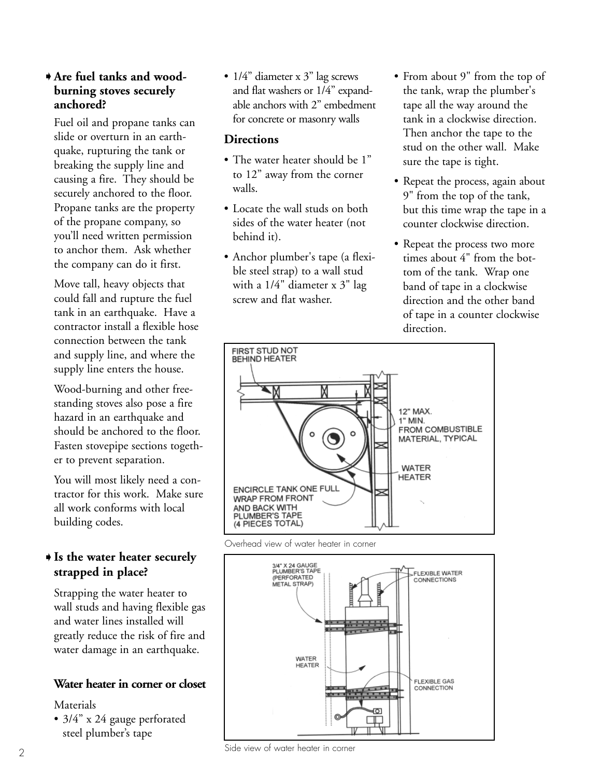#### **Are fuel tanks and wood-**➧ **burning stoves securely anchored?**

Fuel oil and propane tanks can slide or overturn in an earthquake, rupturing the tank or breaking the supply line and causing a fire. They should be securely anchored to the floor. Propane tanks are the property of the propane company, so you'll need written permission to anchor them. Ask whether the company can do it first.

Move tall, heavy objects that could fall and rupture the fuel tank in an earthquake. Have a contractor install a flexible hose connection between the tank and supply line, and where the supply line enters the house.

Wood-burning and other freestanding stoves also pose a fire hazard in an earthquake and should be anchored to the floor. Fasten stovepipe sections together to prevent separation.

You will most likely need a contractor for this work. Make sure all work conforms with local building codes.

# **Is the water heater securely** ➧ **strapped in place?**

Strapping the water heater to wall studs and having flexible gas and water lines installed will greatly reduce the risk of fire and water damage in an earthquake.

#### **Water heater in corner or closet**

Materials

• 3/4" x 24 gauge perforated steel plumber's tape

•  $1/4$ " diameter x 3" lag screws and flat washers or 1/4" expandable anchors with 2" embedment for concrete or masonry walls

### **Directions**

- The water heater should be 1" to 12" away from the corner walls.
- Locate the wall studs on both sides of the water heater (not behind it).
- Anchor plumber's tape (a flexible steel strap) to a wall stud with a 1/4" diameter x 3" lag screw and flat washer.
- From about 9" from the top of the tank, wrap the plumber's tape all the way around the tank in a clockwise direction. Then anchor the tape to the stud on the other wall. Make sure the tape is tight.
- Repeat the process, again about 9" from the top of the tank, but this time wrap the tape in a counter clockwise direction.
- Repeat the process two more times about 4" from the bottom of the tank. Wrap one band of tape in a clockwise direction and the other band of tape in a counter clockwise direction.



Overhead view of water heater in corner



Side view of water heater in corner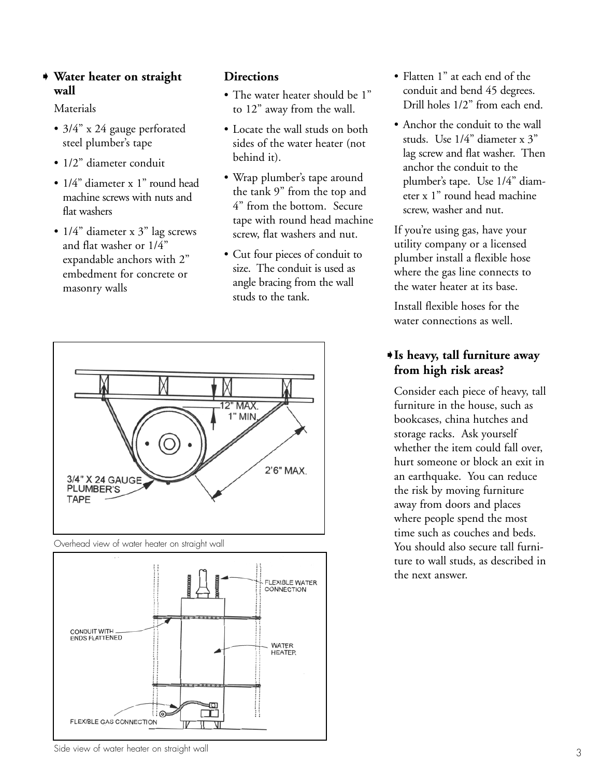#### **Water heater on straight** ➧ **wall**

Materials

- 3/4" x 24 gauge perforated steel plumber's tape
- 1/2" diameter conduit
- 1/4" diameter x 1" round head machine screws with nuts and flat washers
- $1/4$ " diameter x 3" lag screws and flat washer or 1/4" expandable anchors with 2" embedment for concrete or masonry walls

## **Directions**

- The water heater should be 1" to 12" away from the wall.
- Locate the wall studs on both sides of the water heater (not behind it).
- Wrap plumber's tape around the tank 9" from the top and 4" from the bottom. Secure tape with round head machine screw, flat washers and nut.
- Cut four pieces of conduit to size. The conduit is used as angle bracing from the wall studs to the tank.
- **12" MAX** 1" MIN  $2'6''$  MAX 3/4" X 24 GAUGE **PLUMBER'S TAPF**





- Flatten 1" at each end of the conduit and bend 45 degrees. Drill holes 1/2" from each end.
- Anchor the conduit to the wall studs. Use 1/4" diameter x 3" lag screw and flat washer. Then anchor the conduit to the plumber's tape. Use 1/4" diameter x 1" round head machine screw, washer and nut.

If you're using gas, have your utility company or a licensed plumber install a flexible hose where the gas line connects to the water heater at its base.

Install flexible hoses for the water connections as well.

# **Is heavy, tall furniture away** ➧ **from high risk areas?**

Consider each piece of heavy, tall furniture in the house, such as bookcases, china hutches and storage racks. Ask yourself whether the item could fall over, hurt someone or block an exit in an earthquake. You can reduce the risk by moving furniture away from doors and places where people spend the most time such as couches and beds. You should also secure tall furniture to wall studs, as described in the next answer.

Side view of water heater on straight wall